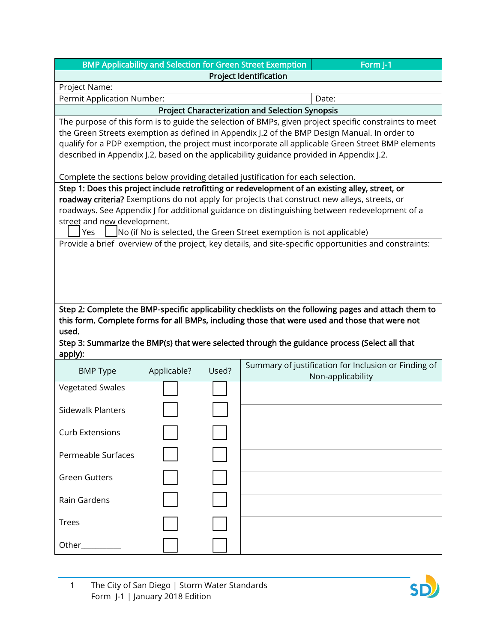|                                                                                  |                                                                                                                                                                                                                                                                                                                                                                                                          |       | <b>BMP Applicability and Selection for Green Street Exemption</b>            | Form J-1                                                                                               |  |  |
|----------------------------------------------------------------------------------|----------------------------------------------------------------------------------------------------------------------------------------------------------------------------------------------------------------------------------------------------------------------------------------------------------------------------------------------------------------------------------------------------------|-------|------------------------------------------------------------------------------|--------------------------------------------------------------------------------------------------------|--|--|
|                                                                                  |                                                                                                                                                                                                                                                                                                                                                                                                          |       | <b>Project Identification</b>                                                |                                                                                                        |  |  |
| Project Name:                                                                    |                                                                                                                                                                                                                                                                                                                                                                                                          |       |                                                                              |                                                                                                        |  |  |
| Permit Application Number:                                                       |                                                                                                                                                                                                                                                                                                                                                                                                          |       |                                                                              | Date:                                                                                                  |  |  |
|                                                                                  |                                                                                                                                                                                                                                                                                                                                                                                                          |       | <b>Project Characterization and Selection Synopsis</b>                       |                                                                                                        |  |  |
|                                                                                  | The purpose of this form is to guide the selection of BMPs, given project specific constraints to meet<br>the Green Streets exemption as defined in Appendix J.2 of the BMP Design Manual. In order to<br>qualify for a PDP exemption, the project must incorporate all applicable Green Street BMP elements<br>described in Appendix J.2, based on the applicability guidance provided in Appendix J.2. |       |                                                                              |                                                                                                        |  |  |
| Complete the sections below providing detailed justification for each selection. |                                                                                                                                                                                                                                                                                                                                                                                                          |       |                                                                              |                                                                                                        |  |  |
|                                                                                  |                                                                                                                                                                                                                                                                                                                                                                                                          |       |                                                                              | Step 1: Does this project include retrofitting or redevelopment of an existing alley, street, or       |  |  |
|                                                                                  |                                                                                                                                                                                                                                                                                                                                                                                                          |       |                                                                              | roadway criteria? Exemptions do not apply for projects that construct new alleys, streets, or          |  |  |
|                                                                                  |                                                                                                                                                                                                                                                                                                                                                                                                          |       |                                                                              | roadways. See Appendix J for additional guidance on distinguishing between redevelopment of a          |  |  |
| street and new development.                                                      |                                                                                                                                                                                                                                                                                                                                                                                                          |       |                                                                              |                                                                                                        |  |  |
| Yes                                                                              |                                                                                                                                                                                                                                                                                                                                                                                                          |       | $\vert$ No (if No is selected, the Green Street exemption is not applicable) | Provide a brief overview of the project, key details, and site-specific opportunities and constraints: |  |  |
|                                                                                  |                                                                                                                                                                                                                                                                                                                                                                                                          |       |                                                                              |                                                                                                        |  |  |
|                                                                                  |                                                                                                                                                                                                                                                                                                                                                                                                          |       |                                                                              |                                                                                                        |  |  |
|                                                                                  |                                                                                                                                                                                                                                                                                                                                                                                                          |       |                                                                              |                                                                                                        |  |  |
|                                                                                  |                                                                                                                                                                                                                                                                                                                                                                                                          |       |                                                                              |                                                                                                        |  |  |
|                                                                                  |                                                                                                                                                                                                                                                                                                                                                                                                          |       |                                                                              |                                                                                                        |  |  |
|                                                                                  |                                                                                                                                                                                                                                                                                                                                                                                                          |       |                                                                              | Step 2: Complete the BMP-specific applicability checklists on the following pages and attach them to   |  |  |
|                                                                                  |                                                                                                                                                                                                                                                                                                                                                                                                          |       |                                                                              | this form. Complete forms for all BMPs, including those that were used and those that were not         |  |  |
| used.                                                                            |                                                                                                                                                                                                                                                                                                                                                                                                          |       |                                                                              |                                                                                                        |  |  |
|                                                                                  |                                                                                                                                                                                                                                                                                                                                                                                                          |       |                                                                              | Step 3: Summarize the BMP(s) that were selected through the guidance process (Select all that          |  |  |
| apply):                                                                          |                                                                                                                                                                                                                                                                                                                                                                                                          |       |                                                                              |                                                                                                        |  |  |
| <b>BMP Type</b>                                                                  | Applicable?                                                                                                                                                                                                                                                                                                                                                                                              | Used? |                                                                              | Summary of justification for Inclusion or Finding of<br>Non-applicability                              |  |  |
| <b>Vegetated Swales</b>                                                          |                                                                                                                                                                                                                                                                                                                                                                                                          |       |                                                                              |                                                                                                        |  |  |
|                                                                                  |                                                                                                                                                                                                                                                                                                                                                                                                          |       |                                                                              |                                                                                                        |  |  |
| Sidewalk Planters                                                                |                                                                                                                                                                                                                                                                                                                                                                                                          |       |                                                                              |                                                                                                        |  |  |
|                                                                                  |                                                                                                                                                                                                                                                                                                                                                                                                          |       |                                                                              |                                                                                                        |  |  |
| <b>Curb Extensions</b>                                                           |                                                                                                                                                                                                                                                                                                                                                                                                          |       |                                                                              |                                                                                                        |  |  |
|                                                                                  |                                                                                                                                                                                                                                                                                                                                                                                                          |       |                                                                              |                                                                                                        |  |  |
| Permeable Surfaces                                                               |                                                                                                                                                                                                                                                                                                                                                                                                          |       |                                                                              |                                                                                                        |  |  |
|                                                                                  |                                                                                                                                                                                                                                                                                                                                                                                                          |       |                                                                              |                                                                                                        |  |  |
| <b>Green Gutters</b>                                                             |                                                                                                                                                                                                                                                                                                                                                                                                          |       |                                                                              |                                                                                                        |  |  |
| Rain Gardens                                                                     |                                                                                                                                                                                                                                                                                                                                                                                                          |       |                                                                              |                                                                                                        |  |  |
|                                                                                  |                                                                                                                                                                                                                                                                                                                                                                                                          |       |                                                                              |                                                                                                        |  |  |
| <b>Trees</b>                                                                     |                                                                                                                                                                                                                                                                                                                                                                                                          |       |                                                                              |                                                                                                        |  |  |
|                                                                                  |                                                                                                                                                                                                                                                                                                                                                                                                          |       |                                                                              |                                                                                                        |  |  |
| Other_                                                                           |                                                                                                                                                                                                                                                                                                                                                                                                          |       |                                                                              |                                                                                                        |  |  |
|                                                                                  |                                                                                                                                                                                                                                                                                                                                                                                                          |       |                                                                              |                                                                                                        |  |  |

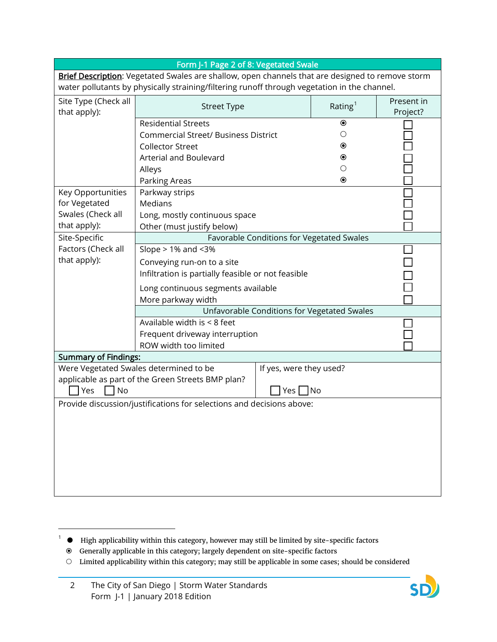| Form J-1 Page 2 of 8: Vegetated Swale                                                        |                                                                                                  |    |                     |            |  |  |
|----------------------------------------------------------------------------------------------|--------------------------------------------------------------------------------------------------|----|---------------------|------------|--|--|
|                                                                                              | Brief Description: Vegetated Swales are shallow, open channels that are designed to remove storm |    |                     |            |  |  |
| water pollutants by physically straining/filtering runoff through vegetation in the channel. |                                                                                                  |    |                     |            |  |  |
| Site Type (Check all                                                                         | <b>Street Type</b>                                                                               |    | Rating <sup>1</sup> | Present in |  |  |
| that apply):                                                                                 | <b>Residential Streets</b>                                                                       |    | $\odot$             | Project?   |  |  |
|                                                                                              | <b>Commercial Street/ Business District</b>                                                      | () |                     |            |  |  |
|                                                                                              | <b>Collector Street</b>                                                                          |    | $\odot$             |            |  |  |
|                                                                                              | <b>Arterial and Boulevard</b>                                                                    |    | ◉                   |            |  |  |
|                                                                                              | Alleys                                                                                           |    | ()                  |            |  |  |
|                                                                                              | Parking Areas                                                                                    |    | ◉                   |            |  |  |
| Key Opportunities                                                                            | Parkway strips                                                                                   |    |                     |            |  |  |
| for Vegetated                                                                                | <b>Medians</b>                                                                                   |    |                     |            |  |  |
| Swales (Check all                                                                            | Long, mostly continuous space                                                                    |    |                     |            |  |  |
| that apply):                                                                                 | Other (must justify below)                                                                       |    |                     |            |  |  |
| Site-Specific                                                                                | Favorable Conditions for Vegetated Swales                                                        |    |                     |            |  |  |
| Factors (Check all                                                                           | Slope > 1% and <3%                                                                               |    |                     |            |  |  |
| that apply):                                                                                 | Conveying run-on to a site                                                                       |    |                     |            |  |  |
|                                                                                              | Infiltration is partially feasible or not feasible                                               |    |                     |            |  |  |
|                                                                                              | Long continuous segments available<br>More parkway width                                         |    |                     |            |  |  |
|                                                                                              |                                                                                                  |    |                     |            |  |  |
|                                                                                              | Unfavorable Conditions for Vegetated Swales                                                      |    |                     |            |  |  |
|                                                                                              | Available width is < 8 feet                                                                      |    |                     |            |  |  |
|                                                                                              | Frequent driveway interruption                                                                   |    |                     |            |  |  |
|                                                                                              | ROW width too limited                                                                            |    |                     |            |  |  |
| <b>Summary of Findings:</b>                                                                  |                                                                                                  |    |                     |            |  |  |
|                                                                                              | Were Vegetated Swales determined to be<br>If yes, were they used?                                |    |                     |            |  |  |
| No<br>Yes                                                                                    | applicable as part of the Green Streets BMP plan?<br> No<br>Yes J                                |    |                     |            |  |  |
|                                                                                              |                                                                                                  |    |                     |            |  |  |
| Provide discussion/justifications for selections and decisions above:                        |                                                                                                  |    |                     |            |  |  |
|                                                                                              |                                                                                                  |    |                     |            |  |  |
|                                                                                              |                                                                                                  |    |                     |            |  |  |
|                                                                                              |                                                                                                  |    |                     |            |  |  |
|                                                                                              |                                                                                                  |    |                     |            |  |  |
|                                                                                              |                                                                                                  |    |                     |            |  |  |
|                                                                                              |                                                                                                  |    |                     |            |  |  |
|                                                                                              |                                                                                                  |    |                     |            |  |  |



 $1$   $\bullet$  High applicability within this category, however may still be limited by site-specific factors

Generally applicable in this category; largely dependent on site-specific factors

Limited applicability within this category; may still be applicable in some cases; should be considered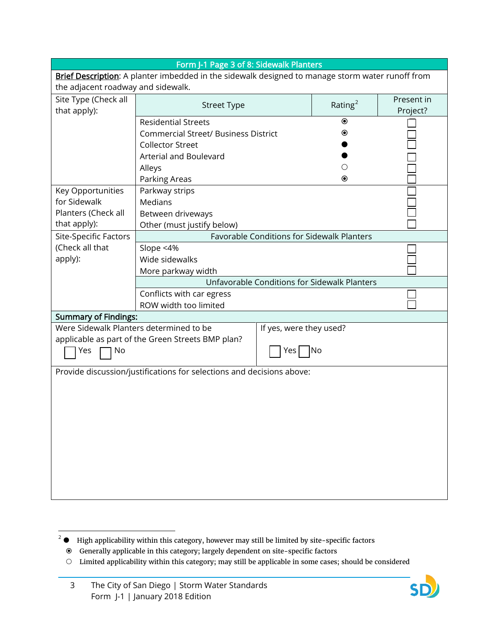| Form J-1 Page 3 of 8: Sidewalk Planters                                                          |                                                                       |                     |            |  |  |  |  |
|--------------------------------------------------------------------------------------------------|-----------------------------------------------------------------------|---------------------|------------|--|--|--|--|
| Brief Description: A planter imbedded in the sidewalk designed to manage storm water runoff from |                                                                       |                     |            |  |  |  |  |
| the adjacent roadway and sidewalk.                                                               |                                                                       |                     |            |  |  |  |  |
| Site Type (Check all                                                                             | <b>Street Type</b>                                                    | Rating <sup>2</sup> | Present in |  |  |  |  |
| that apply):                                                                                     |                                                                       |                     | Project?   |  |  |  |  |
|                                                                                                  | <b>Residential Streets</b>                                            | $\odot$             |            |  |  |  |  |
|                                                                                                  | <b>Commercial Street/ Business District</b>                           | $\bullet$           |            |  |  |  |  |
|                                                                                                  | <b>Collector Street</b>                                               |                     |            |  |  |  |  |
|                                                                                                  | Arterial and Boulevard                                                |                     |            |  |  |  |  |
|                                                                                                  | Alleys                                                                |                     |            |  |  |  |  |
|                                                                                                  | Parking Areas                                                         | $\circledbullet$    |            |  |  |  |  |
| Key Opportunities                                                                                | Parkway strips                                                        |                     |            |  |  |  |  |
| for Sidewalk                                                                                     | <b>Medians</b>                                                        |                     |            |  |  |  |  |
| Planters (Check all                                                                              | Between driveways                                                     |                     |            |  |  |  |  |
| that apply):                                                                                     | Other (must justify below)                                            |                     |            |  |  |  |  |
| <b>Site-Specific Factors</b>                                                                     | Favorable Conditions for Sidewalk Planters                            |                     |            |  |  |  |  |
| (Check all that                                                                                  | Slope <4%                                                             |                     |            |  |  |  |  |
| apply):                                                                                          | Wide sidewalks                                                        |                     |            |  |  |  |  |
|                                                                                                  | More parkway width                                                    |                     |            |  |  |  |  |
|                                                                                                  | Unfavorable Conditions for Sidewalk Planters                          |                     |            |  |  |  |  |
|                                                                                                  | Conflicts with car egress                                             |                     |            |  |  |  |  |
| ROW width too limited                                                                            |                                                                       |                     |            |  |  |  |  |
| <b>Summary of Findings:</b>                                                                      |                                                                       |                     |            |  |  |  |  |
| Were Sidewalk Planters determined to be<br>If yes, were they used?                               |                                                                       |                     |            |  |  |  |  |
| applicable as part of the Green Streets BMP plan?<br>Yes<br>No<br>Yes <br> No                    |                                                                       |                     |            |  |  |  |  |
|                                                                                                  |                                                                       |                     |            |  |  |  |  |
|                                                                                                  | Provide discussion/justifications for selections and decisions above: |                     |            |  |  |  |  |
|                                                                                                  |                                                                       |                     |            |  |  |  |  |
|                                                                                                  |                                                                       |                     |            |  |  |  |  |
|                                                                                                  |                                                                       |                     |            |  |  |  |  |
|                                                                                                  |                                                                       |                     |            |  |  |  |  |
|                                                                                                  |                                                                       |                     |            |  |  |  |  |
|                                                                                                  |                                                                       |                     |            |  |  |  |  |
|                                                                                                  |                                                                       |                     |            |  |  |  |  |
|                                                                                                  |                                                                       |                     |            |  |  |  |  |
|                                                                                                  |                                                                       |                     |            |  |  |  |  |
|                                                                                                  |                                                                       |                     |            |  |  |  |  |
|                                                                                                  |                                                                       |                     |            |  |  |  |  |

<sup>2</sup>  $\bullet$  High applicability within this category, however may still be limited by site-specific factors



Generally applicable in this category; largely dependent on site-specific factors

Limited applicability within this category; may still be applicable in some cases; should be considered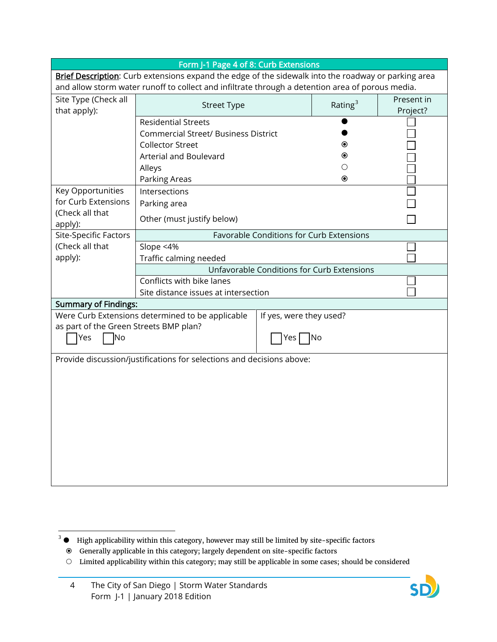| Form J-1 Page 4 of 8: Curb Extensions                                                            |                                                                                                     |                         |                                          |            |  |
|--------------------------------------------------------------------------------------------------|-----------------------------------------------------------------------------------------------------|-------------------------|------------------------------------------|------------|--|
|                                                                                                  | Brief Description: Curb extensions expand the edge of the sidewalk into the roadway or parking area |                         |                                          |            |  |
| and allow storm water runoff to collect and infiltrate through a detention area of porous media. |                                                                                                     |                         |                                          |            |  |
| Site Type (Check all                                                                             |                                                                                                     |                         | Rating $3$                               | Present in |  |
| that apply):                                                                                     | <b>Street Type</b>                                                                                  |                         |                                          | Project?   |  |
|                                                                                                  | <b>Residential Streets</b>                                                                          |                         |                                          |            |  |
|                                                                                                  | <b>Commercial Street/ Business District</b>                                                         |                         |                                          |            |  |
|                                                                                                  | <b>Collector Street</b>                                                                             |                         | $\bullet$                                |            |  |
|                                                                                                  | Arterial and Boulevard                                                                              |                         | $\odot$                                  |            |  |
|                                                                                                  | Alleys                                                                                              |                         | $\left(\right)$                          |            |  |
|                                                                                                  | Parking Areas                                                                                       |                         | $\odot$                                  |            |  |
| Key Opportunities                                                                                | Intersections                                                                                       |                         |                                          |            |  |
| for Curb Extensions                                                                              | Parking area                                                                                        |                         |                                          |            |  |
| (Check all that<br>apply):                                                                       | Other (must justify below)                                                                          |                         |                                          |            |  |
| <b>Site-Specific Factors</b>                                                                     |                                                                                                     |                         | Favorable Conditions for Curb Extensions |            |  |
| (Check all that                                                                                  | Slope <4%                                                                                           |                         |                                          |            |  |
| apply):                                                                                          | Traffic calming needed                                                                              |                         |                                          |            |  |
|                                                                                                  | Unfavorable Conditions for Curb Extensions                                                          |                         |                                          |            |  |
|                                                                                                  | Conflicts with bike lanes                                                                           |                         |                                          |            |  |
|                                                                                                  | Site distance issues at intersection                                                                |                         |                                          |            |  |
| <b>Summary of Findings:</b>                                                                      |                                                                                                     |                         |                                          |            |  |
|                                                                                                  | Were Curb Extensions determined to be applicable                                                    | If yes, were they used? |                                          |            |  |
| as part of the Green Streets BMP plan?                                                           |                                                                                                     |                         |                                          |            |  |
| No<br>Yes<br>Yes   No                                                                            |                                                                                                     |                         |                                          |            |  |
|                                                                                                  | Provide discussion/justifications for selections and decisions above:                               |                         |                                          |            |  |
|                                                                                                  |                                                                                                     |                         |                                          |            |  |
|                                                                                                  |                                                                                                     |                         |                                          |            |  |
|                                                                                                  |                                                                                                     |                         |                                          |            |  |
|                                                                                                  |                                                                                                     |                         |                                          |            |  |
|                                                                                                  |                                                                                                     |                         |                                          |            |  |
|                                                                                                  |                                                                                                     |                         |                                          |            |  |
|                                                                                                  |                                                                                                     |                         |                                          |            |  |
|                                                                                                  |                                                                                                     |                         |                                          |            |  |
|                                                                                                  |                                                                                                     |                         |                                          |            |  |
|                                                                                                  |                                                                                                     |                         |                                          |            |  |
|                                                                                                  |                                                                                                     |                         |                                          |            |  |

 $3$   $\bullet$  High applicability within this category, however may still be limited by site-specific factors



Generally applicable in this category; largely dependent on site-specific factors

Limited applicability within this category; may still be applicable in some cases; should be considered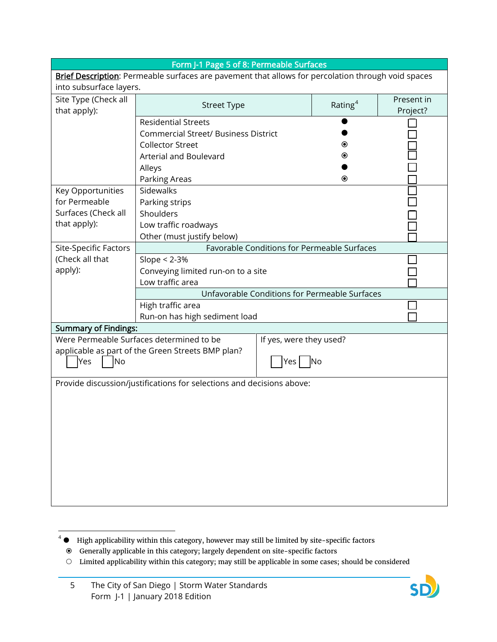| Form J-1 Page 5 of 8: Permeable Surfaces                            |                                                                                                    |                          |                        |  |  |
|---------------------------------------------------------------------|----------------------------------------------------------------------------------------------------|--------------------------|------------------------|--|--|
|                                                                     | Brief Description: Permeable surfaces are pavement that allows for percolation through void spaces |                          |                        |  |  |
| into subsurface layers.                                             |                                                                                                    |                          |                        |  |  |
| Site Type (Check all<br>that apply):                                | <b>Street Type</b>                                                                                 | Rating $4$               | Present in<br>Project? |  |  |
|                                                                     | <b>Residential Streets</b>                                                                         |                          |                        |  |  |
|                                                                     | <b>Commercial Street/ Business District</b>                                                        |                          |                        |  |  |
|                                                                     | <b>Collector Street</b>                                                                            | $\left( \bullet \right)$ |                        |  |  |
|                                                                     | Arterial and Boulevard                                                                             | $\left( \bullet \right)$ |                        |  |  |
|                                                                     | Alleys                                                                                             |                          |                        |  |  |
|                                                                     | Parking Areas                                                                                      | $\odot$                  |                        |  |  |
| Key Opportunities                                                   | <b>Sidewalks</b>                                                                                   |                          |                        |  |  |
| for Permeable                                                       | Parking strips                                                                                     |                          |                        |  |  |
| Surfaces (Check all                                                 | Shoulders                                                                                          |                          |                        |  |  |
| that apply):                                                        | Low traffic roadways                                                                               |                          |                        |  |  |
|                                                                     | Other (must justify below)                                                                         |                          |                        |  |  |
| <b>Site-Specific Factors</b>                                        | Favorable Conditions for Permeable Surfaces                                                        |                          |                        |  |  |
| (Check all that                                                     | Slope $< 2-3$ %                                                                                    |                          |                        |  |  |
| apply):                                                             | Conveying limited run-on to a site                                                                 |                          |                        |  |  |
|                                                                     | Low traffic area                                                                                   |                          |                        |  |  |
|                                                                     | Unfavorable Conditions for Permeable Surfaces                                                      |                          |                        |  |  |
|                                                                     | High traffic area                                                                                  |                          |                        |  |  |
|                                                                     | Run-on has high sediment load                                                                      |                          |                        |  |  |
| <b>Summary of Findings:</b>                                         |                                                                                                    |                          |                        |  |  |
| Were Permeable Surfaces determined to be<br>If yes, were they used? |                                                                                                    |                          |                        |  |  |
| applicable as part of the Green Streets BMP plan?                   |                                                                                                    |                          |                        |  |  |
| Yes<br> No                                                          | Yes   No                                                                                           |                          |                        |  |  |
|                                                                     |                                                                                                    |                          |                        |  |  |
|                                                                     | Provide discussion/justifications for selections and decisions above:                              |                          |                        |  |  |
|                                                                     |                                                                                                    |                          |                        |  |  |
|                                                                     |                                                                                                    |                          |                        |  |  |
|                                                                     |                                                                                                    |                          |                        |  |  |
|                                                                     |                                                                                                    |                          |                        |  |  |
|                                                                     |                                                                                                    |                          |                        |  |  |
|                                                                     |                                                                                                    |                          |                        |  |  |
|                                                                     |                                                                                                    |                          |                        |  |  |
|                                                                     |                                                                                                    |                          |                        |  |  |
|                                                                     |                                                                                                    |                          |                        |  |  |
|                                                                     |                                                                                                    |                          |                        |  |  |

 $4$   $\bullet$  High applicability within this category, however may still be limited by site-specific factors



Generally applicable in this category; largely dependent on site-specific factors

Limited applicability within this category; may still be applicable in some cases; should be considered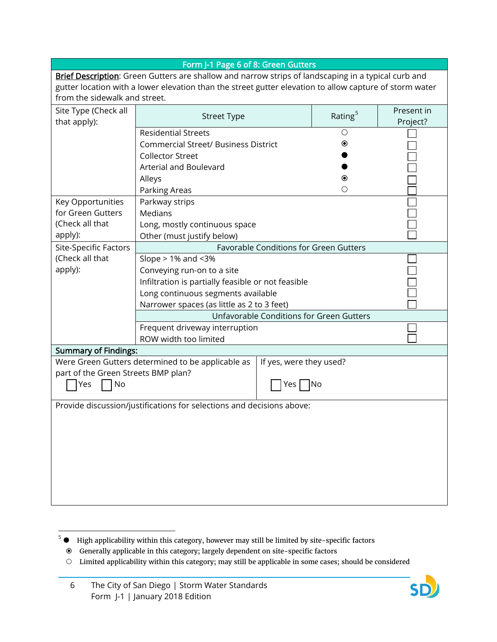| Form J-1 Page 6 of 8: Green Gutters                                   |                                                                                                         |                         |                                               |            |  |
|-----------------------------------------------------------------------|---------------------------------------------------------------------------------------------------------|-------------------------|-----------------------------------------------|------------|--|
|                                                                       | Brief Description: Green Gutters are shallow and narrow strips of landscaping in a typical curb and     |                         |                                               |            |  |
|                                                                       | gutter location with a lower elevation than the street gutter elevation to allow capture of storm water |                         |                                               |            |  |
| from the sidewalk and street.                                         |                                                                                                         |                         |                                               |            |  |
| Site Type (Check all                                                  |                                                                                                         |                         |                                               | Present in |  |
| that apply):                                                          | <b>Street Type</b>                                                                                      | Rating <sup>5</sup>     | Project?                                      |            |  |
|                                                                       | <b>Residential Streets</b>                                                                              |                         | $\bigcirc$                                    |            |  |
|                                                                       | <b>Commercial Street/ Business District</b>                                                             |                         | $\odot$                                       |            |  |
|                                                                       | <b>Collector Street</b>                                                                                 |                         |                                               |            |  |
|                                                                       | Arterial and Boulevard                                                                                  |                         |                                               |            |  |
|                                                                       | Alleys                                                                                                  |                         | $\odot$                                       |            |  |
|                                                                       | Parking Areas                                                                                           |                         | O                                             |            |  |
| Key Opportunities                                                     | Parkway strips                                                                                          |                         |                                               |            |  |
| for Green Gutters                                                     | <b>Medians</b>                                                                                          |                         |                                               |            |  |
| (Check all that                                                       | Long, mostly continuous space                                                                           |                         |                                               |            |  |
| apply):                                                               | Other (must justify below)                                                                              |                         |                                               |            |  |
| <b>Site-Specific Factors</b>                                          |                                                                                                         |                         | <b>Favorable Conditions for Green Gutters</b> |            |  |
| (Check all that                                                       | Slope $> 1\%$ and $<$ 3%                                                                                |                         |                                               |            |  |
| apply):                                                               | Conveying run-on to a site                                                                              |                         |                                               |            |  |
|                                                                       | Infiltration is partially feasible or not feasible                                                      |                         |                                               |            |  |
|                                                                       | Long continuous segments available                                                                      |                         |                                               |            |  |
|                                                                       | Narrower spaces (as little as 2 to 3 feet)                                                              |                         |                                               |            |  |
|                                                                       |                                                                                                         |                         | Unfavorable Conditions for Green Gutters      |            |  |
|                                                                       | Frequent driveway interruption                                                                          |                         |                                               |            |  |
|                                                                       | ROW width too limited                                                                                   |                         |                                               |            |  |
| <b>Summary of Findings:</b>                                           |                                                                                                         |                         |                                               |            |  |
|                                                                       | Were Green Gutters determined to be applicable as                                                       | If yes, were they used? |                                               |            |  |
| part of the Green Streets BMP plan?                                   |                                                                                                         |                         |                                               |            |  |
| No<br>Yes                                                             |                                                                                                         | Yes J                   | 1No                                           |            |  |
| Provide discussion/justifications for selections and decisions above: |                                                                                                         |                         |                                               |            |  |
|                                                                       |                                                                                                         |                         |                                               |            |  |
|                                                                       |                                                                                                         |                         |                                               |            |  |
|                                                                       |                                                                                                         |                         |                                               |            |  |
|                                                                       |                                                                                                         |                         |                                               |            |  |
|                                                                       |                                                                                                         |                         |                                               |            |  |
|                                                                       |                                                                                                         |                         |                                               |            |  |
|                                                                       |                                                                                                         |                         |                                               |            |  |
|                                                                       |                                                                                                         |                         |                                               |            |  |



 $5$   $\bullet$  High applicability within this category, however may still be limited by site-specific factors

Generally applicable in this category; largely dependent on site-specific factors

Limited applicability within this category; may still be applicable in some cases; should be considered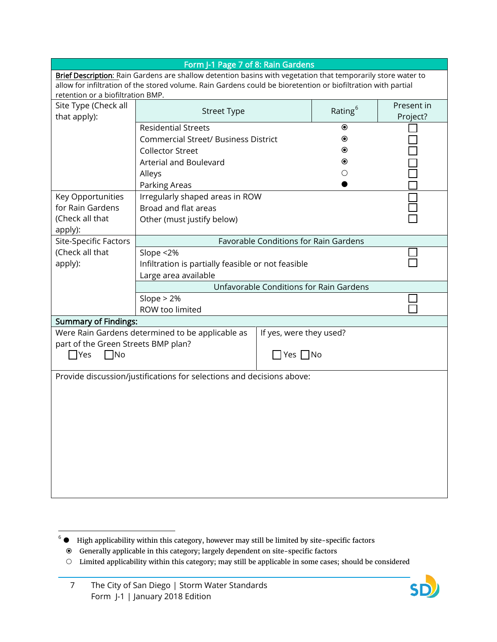| Form J-1 Page 7 of 8: Rain Gardens                                                                            |                                                                                                              |                                              |                     |            |  |  |
|---------------------------------------------------------------------------------------------------------------|--------------------------------------------------------------------------------------------------------------|----------------------------------------------|---------------------|------------|--|--|
|                                                                                                               | Brief Description: Rain Gardens are shallow detention basins with vegetation that temporarily store water to |                                              |                     |            |  |  |
| allow for infiltration of the stored volume. Rain Gardens could be bioretention or biofiltration with partial |                                                                                                              |                                              |                     |            |  |  |
| retention or a biofiltration BMP.                                                                             |                                                                                                              |                                              |                     |            |  |  |
| Site Type (Check all                                                                                          | <b>Street Type</b>                                                                                           |                                              | Rating <sup>6</sup> | Present in |  |  |
| that apply):                                                                                                  |                                                                                                              |                                              |                     | Project?   |  |  |
|                                                                                                               | <b>Residential Streets</b>                                                                                   |                                              | $\circledbullet$    |            |  |  |
|                                                                                                               | <b>Commercial Street/ Business District</b>                                                                  |                                              | ◉                   |            |  |  |
|                                                                                                               | <b>Collector Street</b>                                                                                      |                                              | ◉                   |            |  |  |
|                                                                                                               | Arterial and Boulevard                                                                                       |                                              | ◉                   |            |  |  |
|                                                                                                               | Alleys                                                                                                       |                                              | $\left(\right)$     |            |  |  |
|                                                                                                               | Parking Areas                                                                                                |                                              |                     |            |  |  |
| Key Opportunities                                                                                             | Irregularly shaped areas in ROW                                                                              |                                              |                     |            |  |  |
| for Rain Gardens                                                                                              | Broad and flat areas                                                                                         |                                              |                     |            |  |  |
| (Check all that                                                                                               | Other (must justify below)                                                                                   |                                              |                     |            |  |  |
| apply):                                                                                                       |                                                                                                              |                                              |                     |            |  |  |
| <b>Site-Specific Factors</b>                                                                                  |                                                                                                              | <b>Favorable Conditions for Rain Gardens</b> |                     |            |  |  |
| (Check all that                                                                                               | Slope <2%                                                                                                    |                                              |                     |            |  |  |
| apply):                                                                                                       | Infiltration is partially feasible or not feasible                                                           |                                              |                     |            |  |  |
|                                                                                                               | Large area available                                                                                         |                                              |                     |            |  |  |
|                                                                                                               | Unfavorable Conditions for Rain Gardens                                                                      |                                              |                     |            |  |  |
|                                                                                                               | Slope $> 2\%$                                                                                                |                                              |                     |            |  |  |
|                                                                                                               | ROW too limited                                                                                              |                                              |                     |            |  |  |
| <b>Summary of Findings:</b>                                                                                   |                                                                                                              |                                              |                     |            |  |  |
|                                                                                                               | Were Rain Gardens determined to be applicable as                                                             | If yes, were they used?                      |                     |            |  |  |
| part of the Green Streets BMP plan?                                                                           |                                                                                                              |                                              |                     |            |  |  |
| $\exists$ Yes<br>$\Box$ No                                                                                    |                                                                                                              | Yes No                                       |                     |            |  |  |
|                                                                                                               |                                                                                                              |                                              |                     |            |  |  |
|                                                                                                               | Provide discussion/justifications for selections and decisions above:                                        |                                              |                     |            |  |  |
|                                                                                                               |                                                                                                              |                                              |                     |            |  |  |
|                                                                                                               |                                                                                                              |                                              |                     |            |  |  |
|                                                                                                               |                                                                                                              |                                              |                     |            |  |  |
|                                                                                                               |                                                                                                              |                                              |                     |            |  |  |
|                                                                                                               |                                                                                                              |                                              |                     |            |  |  |
|                                                                                                               |                                                                                                              |                                              |                     |            |  |  |
|                                                                                                               |                                                                                                              |                                              |                     |            |  |  |
|                                                                                                               |                                                                                                              |                                              |                     |            |  |  |
|                                                                                                               |                                                                                                              |                                              |                     |            |  |  |
|                                                                                                               |                                                                                                              |                                              |                     |            |  |  |
|                                                                                                               |                                                                                                              |                                              |                     |            |  |  |



 $6$   $\bullet$  High applicability within this category, however may still be limited by site-specific factors

Generally applicable in this category; largely dependent on site-specific factors

Limited applicability within this category; may still be applicable in some cases; should be considered